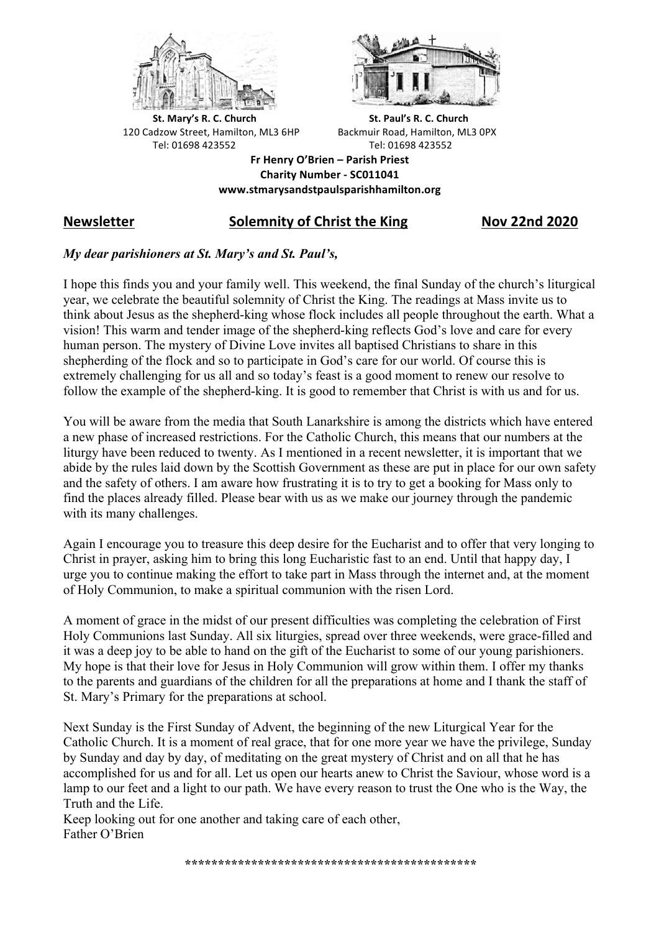



**St.** Mary's R. C. Church St. Paul's R. C. Church 120 Cadzow Street, Hamilton, ML3 6HP Backmuir Road, Hamilton, ML3 0PX Tel: 01698 423552 Tel: 01698 423552

**Fr Henry O'Brien – Parish Priest Charity Number - SC011041 www.stmarysandstpaulsparishhamilton.org**

## **Newsletter Solemnity of Christ the King Nov 22nd 2020**

## *My dear parishioners at St. Mary's and St. Paul's,*

I hope this finds you and your family well. This weekend, the final Sunday of the church's liturgical year, we celebrate the beautiful solemnity of Christ the King. The readings at Mass invite us to think about Jesus as the shepherd-king whose flock includes all people throughout the earth. What a vision! This warm and tender image of the shepherd-king reflects God's love and care for every human person. The mystery of Divine Love invites all baptised Christians to share in this shepherding of the flock and so to participate in God's care for our world. Of course this is extremely challenging for us all and so today's feast is a good moment to renew our resolve to follow the example of the shepherd-king. It is good to remember that Christ is with us and for us.

You will be aware from the media that South Lanarkshire is among the districts which have entered a new phase of increased restrictions. For the Catholic Church, this means that our numbers at the liturgy have been reduced to twenty. As I mentioned in a recent newsletter, it is important that we abide by the rules laid down by the Scottish Government as these are put in place for our own safety and the safety of others. I am aware how frustrating it is to try to get a booking for Mass only to find the places already filled. Please bear with us as we make our journey through the pandemic with its many challenges.

Again I encourage you to treasure this deep desire for the Eucharist and to offer that very longing to Christ in prayer, asking him to bring this long Eucharistic fast to an end. Until that happy day, I urge you to continue making the effort to take part in Mass through the internet and, at the moment of Holy Communion, to make a spiritual communion with the risen Lord.

A moment of grace in the midst of our present difficulties was completing the celebration of First Holy Communions last Sunday. All six liturgies, spread over three weekends, were grace-filled and it was a deep joy to be able to hand on the gift of the Eucharist to some of our young parishioners. My hope is that their love for Jesus in Holy Communion will grow within them. I offer my thanks to the parents and guardians of the children for all the preparations at home and I thank the staff of St. Mary's Primary for the preparations at school.

Next Sunday is the First Sunday of Advent, the beginning of the new Liturgical Year for the Catholic Church. It is a moment of real grace, that for one more year we have the privilege, Sunday by Sunday and day by day, of meditating on the great mystery of Christ and on all that he has accomplished for us and for all. Let us open our hearts anew to Christ the Saviour, whose word is a lamp to our feet and a light to our path. We have every reason to trust the One who is the Way, the Truth and the Life.

Keep looking out for one another and taking care of each other, Father O'Brien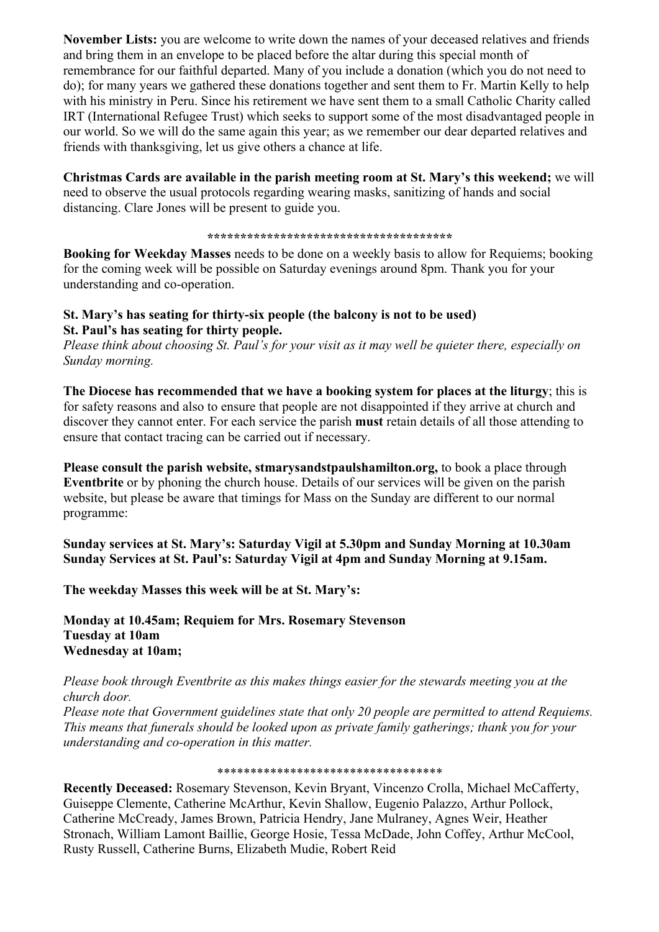**November Lists:** you are welcome to write down the names of your deceased relatives and friends and bring them in an envelope to be placed before the altar during this special month of remembrance for our faithful departed. Many of you include a donation (which you do not need to do); for many years we gathered these donations together and sent them to Fr. Martin Kelly to help with his ministry in Peru. Since his retirement we have sent them to a small Catholic Charity called IRT (International Refugee Trust) which seeks to support some of the most disadvantaged people in our world. So we will do the same again this year; as we remember our dear departed relatives and friends with thanksgiving, let us give others a chance at life.

**Christmas Cards are available in the parish meeting room at St. Mary's this weekend;** we will need to observe the usual protocols regarding wearing masks, sanitizing of hands and social distancing. Clare Jones will be present to guide you.

**\*\*\*\*\*\*\*\*\*\*\*\*\*\*\*\*\*\*\*\*\*\*\*\*\*\*\*\*\*\*\*\*\*\*\*\*\***

**Booking for Weekday Masses** needs to be done on a weekly basis to allow for Requiems; booking for the coming week will be possible on Saturday evenings around 8pm. Thank you for your understanding and co-operation.

## **St. Mary's has seating for thirty-six people (the balcony is not to be used) St. Paul's has seating for thirty people.**

*Please think about choosing St. Paul's for your visit as it may well be quieter there, especially on Sunday morning.*

**The Diocese has recommended that we have a booking system for places at the liturgy**; this is for safety reasons and also to ensure that people are not disappointed if they arrive at church and discover they cannot enter. For each service the parish **must** retain details of all those attending to ensure that contact tracing can be carried out if necessary.

**Please consult the parish website, stmarysandstpaulshamilton.org,** to book a place through **Eventbrite** or by phoning the church house. Details of our services will be given on the parish website, but please be aware that timings for Mass on the Sunday are different to our normal programme:

**Sunday services at St. Mary's: Saturday Vigil at 5.30pm and Sunday Morning at 10.30am Sunday Services at St. Paul's: Saturday Vigil at 4pm and Sunday Morning at 9.15am.**

**The weekday Masses this week will be at St. Mary's:**

**Monday at 10.45am; Requiem for Mrs. Rosemary Stevenson Tuesday at 10am Wednesday at 10am;**

*Please book through Eventbrite as this makes things easier for the stewards meeting you at the church door.*

*Please note that Government guidelines state that only 20 people are permitted to attend Requiems. This means that funerals should be looked upon as private family gatherings; thank you for your understanding and co-operation in this matter.*

\*\*\*\*\*\*\*\*\*\*\*\*\*\*\*\*\*\*\*\*\*\*\*\*\*\*\*\*\*\*\*\*\*\*

**Recently Deceased:** Rosemary Stevenson, Kevin Bryant, Vincenzo Crolla, Michael McCafferty, Guiseppe Clemente, Catherine McArthur, Kevin Shallow, Eugenio Palazzo, Arthur Pollock, Catherine McCready, James Brown, Patricia Hendry, Jane Mulraney, Agnes Weir, Heather Stronach, William Lamont Baillie, George Hosie, Tessa McDade, John Coffey, Arthur McCool, Rusty Russell, Catherine Burns, Elizabeth Mudie, Robert Reid